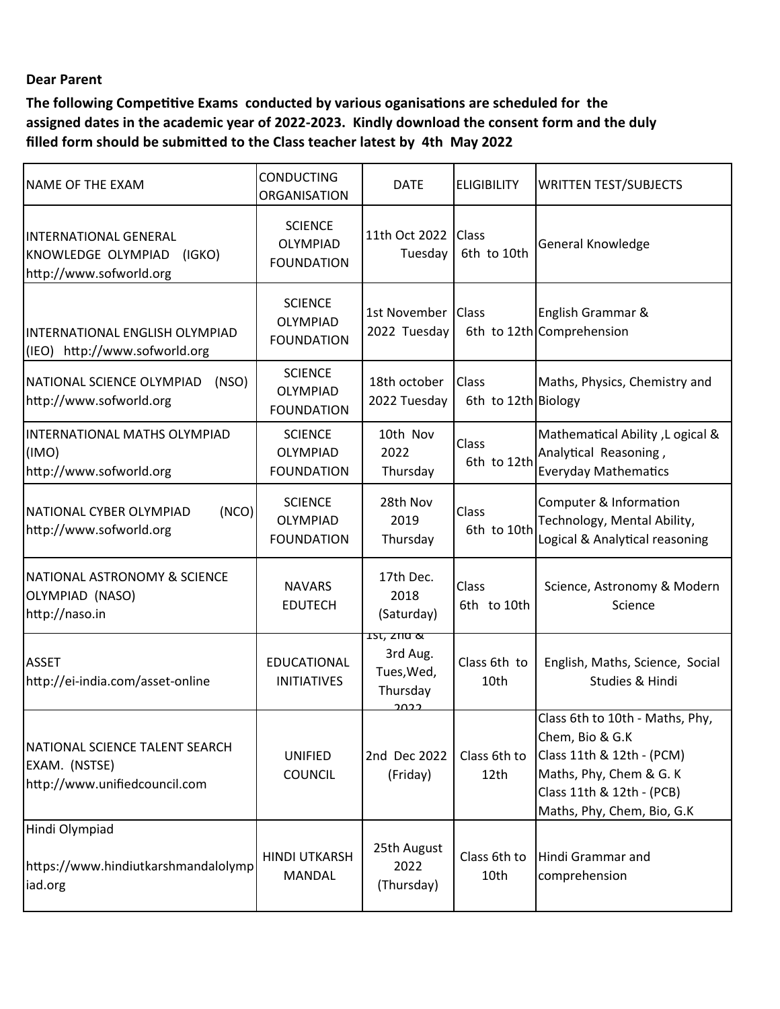## **Dear Parent**

**The following Competitive Exams conducted by various oganisations are scheduled for the assigned dates in the academic year of 2022-2023. Kindly download the consent form and the duly filled form should be submitted to the Class teacher latest by 4th May 2022**

| NAME OF THE EXAM                                                                        | <b>CONDUCTING</b><br><b>ORGANISATION</b>               | <b>DATE</b>                                             | <b>ELIGIBILITY</b>           | <b>WRITTEN TEST/SUBJECTS</b>                                                                                                                                          |
|-----------------------------------------------------------------------------------------|--------------------------------------------------------|---------------------------------------------------------|------------------------------|-----------------------------------------------------------------------------------------------------------------------------------------------------------------------|
| <b>INTERNATIONAL GENERAL</b><br>KNOWLEDGE OLYMPIAD<br>(IGKO)<br>http://www.sofworld.org | <b>SCIENCE</b><br>OLYMPIAD<br><b>FOUNDATION</b>        | 11th Oct 2022<br>Tuesday                                | <b>Class</b><br>6th to 10th  | General Knowledge                                                                                                                                                     |
| INTERNATIONAL ENGLISH OLYMPIAD<br>(IEO) http://www.sofworld.org                         | <b>SCIENCE</b><br><b>OLYMPIAD</b><br><b>FOUNDATION</b> | 1st November   Class<br>2022 Tuesday                    |                              | English Grammar &<br>6th to 12th Comprehension                                                                                                                        |
| NATIONAL SCIENCE OLYMPIAD<br>(NSO)<br>http://www.sofworld.org                           | <b>SCIENCE</b><br>OLYMPIAD<br><b>FOUNDATION</b>        | 18th october<br>2022 Tuesday                            | Class<br>6th to 12th Biology | Maths, Physics, Chemistry and                                                                                                                                         |
| INTERNATIONAL MATHS OLYMPIAD<br>(IMO)<br>http://www.sofworld.org                        | <b>SCIENCE</b><br><b>OLYMPIAD</b><br><b>FOUNDATION</b> | 10th Nov<br>2022<br>Thursday                            | Class<br>6th to 12th         | A Jogical & Ability , L ogical<br>Analytical Reasoning,<br><b>Everyday Mathematics</b>                                                                                |
| NATIONAL CYBER OLYMPIAD<br>(NCO)<br>http://www.sofworld.org                             | <b>SCIENCE</b><br><b>OLYMPIAD</b><br><b>FOUNDATION</b> | 28th Nov<br>2019<br>Thursday                            | Class<br>6th to 10th         | Computer & Information<br>Technology, Mental Ability,<br>Logical & Analytical reasoning                                                                               |
| <b>NATIONAL ASTRONOMY &amp; SCIENCE</b><br>OLYMPIAD (NASO)<br>http://naso.in            | <b>NAVARS</b><br><b>EDUTECH</b>                        | 17th Dec.<br>2018<br>(Saturday)                         | Class<br>6th to 10th         | Science, Astronomy & Modern<br>Science                                                                                                                                |
| <b>ASSET</b><br>http://ei-india.com/asset-online                                        | EDUCATIONAL<br><b>INITIATIVES</b>                      | 15t, 200 &<br>3rd Aug.<br>Tues, Wed,<br>Thursday<br>ാറാ | Class 6th to<br>10th         | English, Maths, Science, Social<br>Studies & Hindi                                                                                                                    |
| NATIONAL SCIENCE TALENT SEARCH<br>EXAM. (NSTSE)<br>http://www.unifiedcouncil.com        | <b>UNIFIED</b><br><b>COUNCIL</b>                       | 2nd Dec 2022<br>(Friday)                                | Class 6th to<br>12th         | Class 6th to 10th - Maths, Phy,<br>Chem, Bio & G.K<br>Class 11th & 12th - (PCM)<br>Maths, Phy, Chem & G. K<br>Class 11th & 12th - (PCB)<br>Maths, Phy, Chem, Bio, G.K |
| Hindi Olympiad<br>https://www.hindiutkarshmandalolymp<br>iad.org                        | <b>HINDI UTKARSH</b><br>MANDAL                         | 25th August<br>2022<br>(Thursday)                       | Class 6th to<br>10th         | Hindi Grammar and<br>comprehension                                                                                                                                    |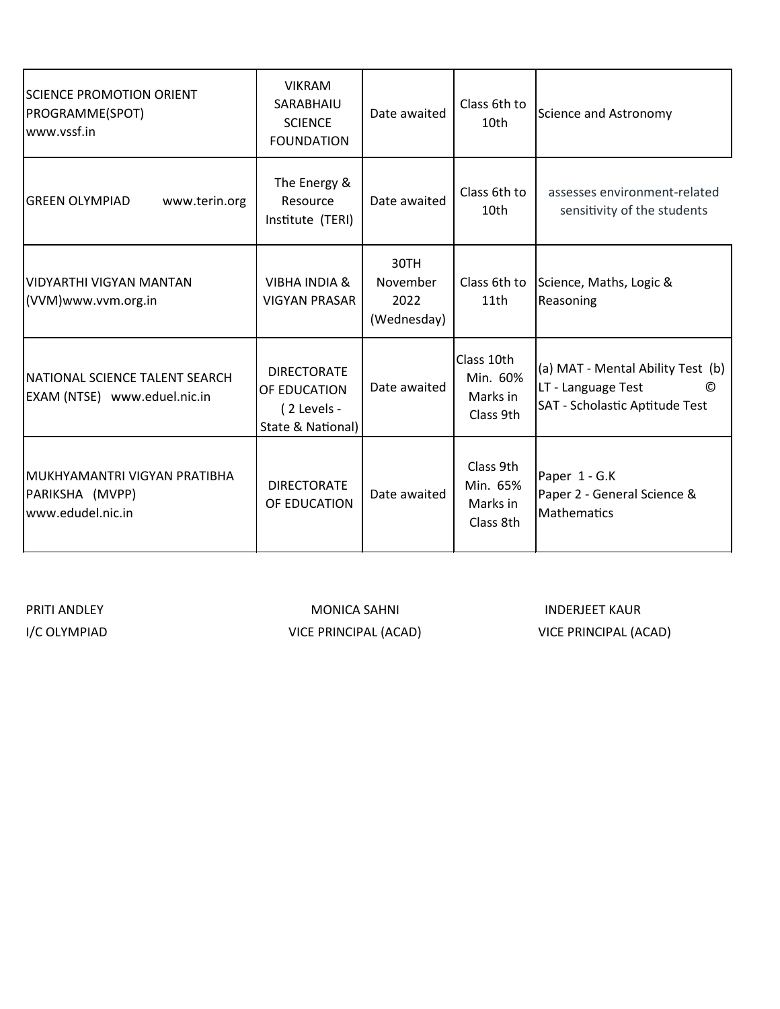| ISCIENCE PROMOTION ORIENT<br>PROGRAMME(SPOT)<br>www.vssf.in           | <b>VIKRAM</b><br>SARABHAIU<br><b>SCIENCE</b><br><b>FOUNDATION</b>      | Date awaited                            | Class 6th to<br>10th                            | Science and Astronomy                                                                                 |
|-----------------------------------------------------------------------|------------------------------------------------------------------------|-----------------------------------------|-------------------------------------------------|-------------------------------------------------------------------------------------------------------|
| <b>GREEN OLYMPIAD</b><br>www.terin.org                                | The Energy &<br>Resource<br>Institute (TERI)                           | Date awaited                            | Class 6th to<br>10th                            | assesses environment-related<br>sensitivity of the students                                           |
| lvidyarthi vigyan mantan<br>(VVM)www.vvm.org.in                       | <b>VIBHA INDIA &amp;</b><br><b>VIGYAN PRASAR</b>                       | 30TH<br>November<br>2022<br>(Wednesday) | Class 6th to<br>11th                            | Science, Maths, Logic &<br>Reasoning                                                                  |
| NATIONAL SCIENCE TALENT SEARCH<br>EXAM (NTSE) www.eduel.nic.in        | <b>DIRECTORATE</b><br>OF EDUCATION<br>(2 Levels -<br>State & National) | Date awaited                            | Class 10th<br>Min. 60%<br>Marks in<br>Class 9th | (a) MAT - Mental Ability Test (b)<br>LT - Language Test<br>O<br><b>SAT - Scholastic Aptitude Test</b> |
| İMUKHYAMANTRI VIGYAN PRATIBHA<br>PARIKSHA (MVPP)<br>www.edudel.nic.in | <b>DIRECTORATE</b><br>OF EDUCATION                                     | Date awaited                            | Class 9th<br>Min. 65%<br>Marks in<br>Class 8th  | Paper 1 - G.K<br>Paper 2 - General Science &<br>Mathematics                                           |

PRITI ANDLEY

I/C OLYMPIAD VICE PRINCIPAL (ACAD) VICE PRINCIPAL (ACAD)MONICA SAHNI INDERJEET KAUR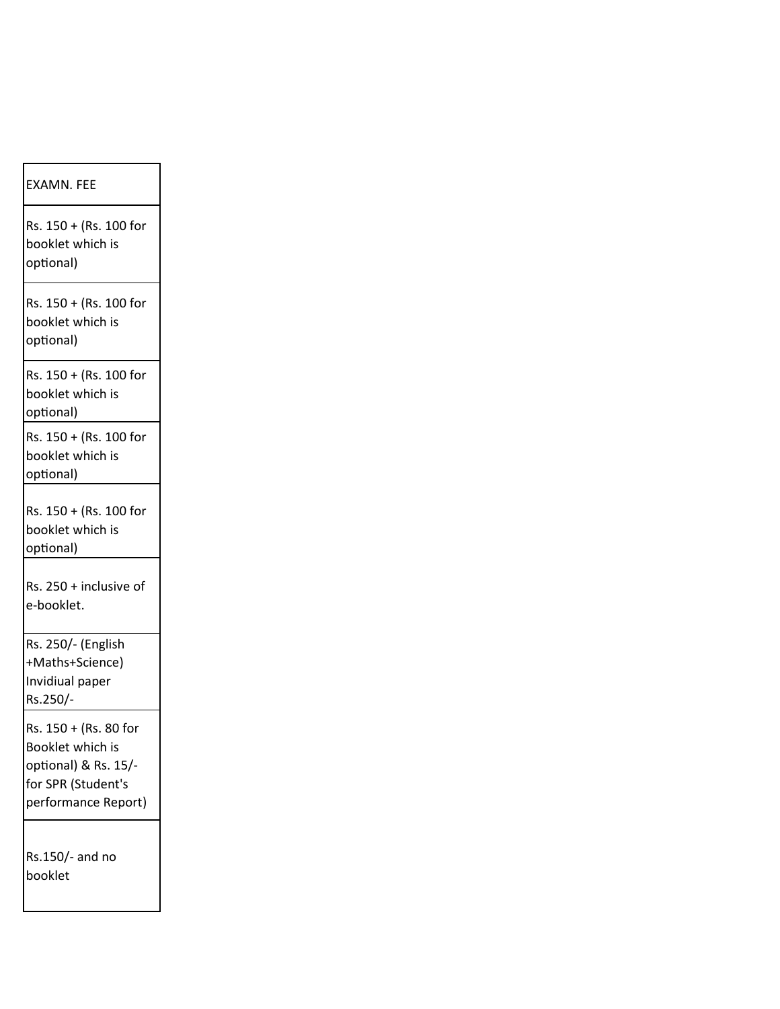| <b>EXAMN. FEE</b>                                                                                              |
|----------------------------------------------------------------------------------------------------------------|
| Rs. 150 + (Rs. 100 for<br>booklet which is<br>optional)                                                        |
| Rs. 150 + (Rs. 100 for<br>booklet which is<br>optional)                                                        |
| Rs. 150 + (Rs. 100 for<br>booklet which is<br>optional)                                                        |
| Rs. 150 + (Rs. 100 for<br>booklet which is<br>optional)                                                        |
| Rs. 150 + (Rs. 100 for<br>booklet which is<br>optional)                                                        |
| Rs. 250 + inclusive of<br>e-booklet.                                                                           |
| Rs. 250/- (English<br>+Maths+Science)<br>Invidiual paper<br>Rs.250/-                                           |
| Rs. 150 + (Rs. 80 for<br>Booklet which is<br>optional) & Rs. 15/-<br>for SPR (Student's<br>performance Report) |
| Rs.150/- and no<br>booklet                                                                                     |